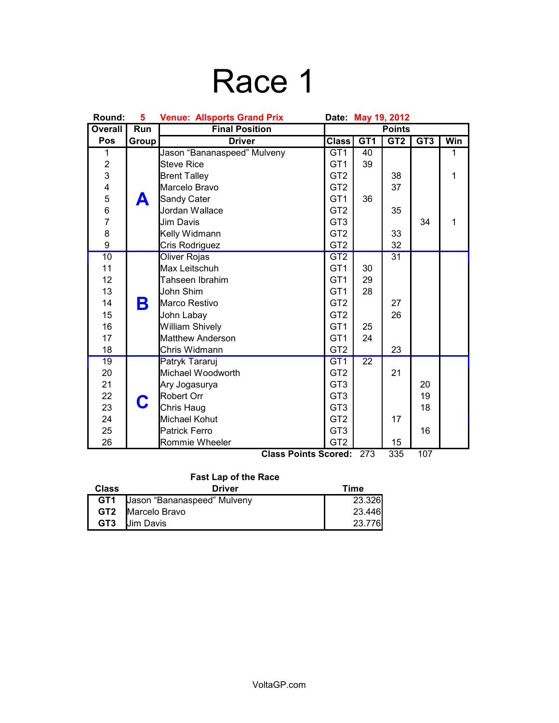## Race 1

| Round:                  | 5     | <b>Venue: Allsports Grand Prix</b><br>Date: May 19, 2012 |                 |                 |                 |                 |              |
|-------------------------|-------|----------------------------------------------------------|-----------------|-----------------|-----------------|-----------------|--------------|
| <b>Overall</b>          | Run   | <b>Final Position</b>                                    | <b>Points</b>   |                 |                 |                 |              |
| Pos                     | Group | <b>Driver</b>                                            | <b>Class</b>    | GT <sub>1</sub> | GT <sub>2</sub> | GT <sub>3</sub> | <b>Win</b>   |
| 1                       |       | Jason "Bananaspeed" Mulveny                              | GT <sub>1</sub> | 40              |                 |                 | 1            |
| $\overline{\mathbf{c}}$ |       | <b>Steve Rice</b>                                        | GT <sub>1</sub> | 39              |                 |                 |              |
| 3                       |       | <b>Brent Talley</b>                                      | GT <sub>2</sub> |                 | 38              |                 | $\mathbf{1}$ |
| 4                       |       | Marcelo Bravo                                            | GT <sub>2</sub> |                 | 37              |                 |              |
| $\frac{5}{6}$           | A     | Sandy Cater                                              | GT <sub>1</sub> | 36              |                 |                 |              |
|                         |       | Jordan Wallace                                           | GT <sub>2</sub> |                 | 35              |                 |              |
| $\overline{7}$          |       | Jim Davis                                                | GT <sub>3</sub> |                 |                 | 34              | 1            |
| 8                       |       | Kelly Widmann                                            | GT <sub>2</sub> |                 | 33              |                 |              |
| 9                       |       | Cris Rodriguez                                           | GT <sub>2</sub> |                 | 32              |                 |              |
| 10                      |       | <b>Oliver Rojas</b>                                      | GT2             |                 | $\overline{31}$ |                 |              |
| 11                      |       | Max Leitschuh                                            | GT <sub>1</sub> | 30              |                 |                 |              |
| 12                      |       | Tahseen Ibrahim                                          | GT <sub>1</sub> | 29              |                 |                 |              |
| 13                      |       | John Shim                                                | GT <sub>1</sub> | 28              |                 |                 |              |
| 14                      | Β     | Marco Restivo                                            | GT <sub>2</sub> |                 | 27              |                 |              |
| 15                      |       | John Labay                                               | GT <sub>2</sub> |                 | 26              |                 |              |
| 16                      |       | <b>William Shively</b>                                   | GT <sub>1</sub> | 25              |                 |                 |              |
| 17                      |       | <b>Matthew Anderson</b>                                  | GT <sub>1</sub> | 24              |                 |                 |              |
| 18                      |       | Chris Widmann                                            | GT <sub>2</sub> |                 | 23              |                 |              |
| $\overline{19}$         |       | Patryk Tararuj                                           | GT <sub>1</sub> | $\overline{22}$ |                 |                 |              |
| 20                      |       | Michael Woodworth                                        | GT <sub>2</sub> |                 | 21              |                 |              |
| 21                      |       | Ary Jogasurya                                            | GT <sub>3</sub> |                 |                 | 20              |              |
| 22                      | C     | <b>Robert Orr</b>                                        | GT <sub>3</sub> |                 |                 | 19              |              |
| 23                      |       | Chris Haug                                               | GT <sub>3</sub> |                 |                 | 18              |              |
| 24                      |       | Michael Kohut                                            | GT <sub>2</sub> |                 | 17              |                 |              |
| 25                      |       | <b>Patrick Ferro</b>                                     | GT <sub>3</sub> |                 |                 | 16              |              |
| 26                      |       | Rommie Wheeler<br>Close Deinte Cooredi                   | GT <sub>2</sub> |                 | 15<br>oor.      | 407             |              |

**Class Points Scored:** 273 335 107

### **Fast Lap of the Race**

| <b>Class</b>    | <b>Driver</b>               | Time   |
|-----------------|-----------------------------|--------|
| GT <sub>1</sub> | Jason "Bananaspeed" Mulveny | 23.326 |
|                 | <b>GT2 IMarcelo Bravo</b>   | 23.446 |
| GT <sub>3</sub> | <b>Jim Davis</b>            | 23.776 |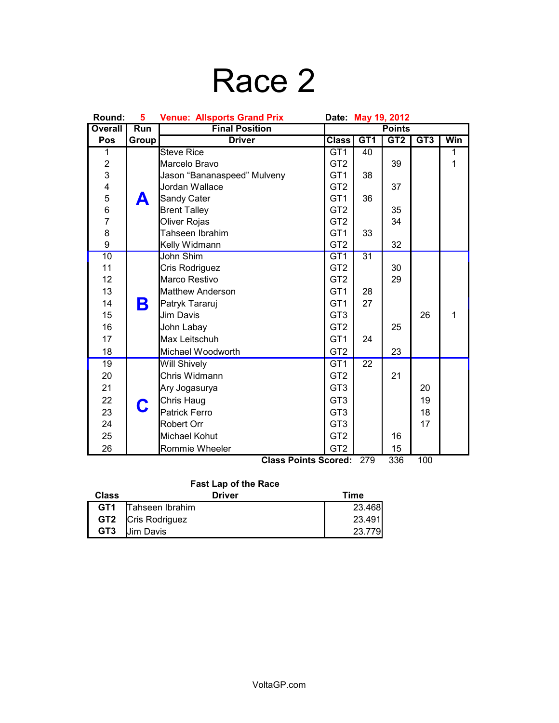## Race 2

| <b>Overall</b><br><b>Final Position</b><br><b>Points</b><br>Run<br>GT <sub>1</sub><br>GT <sub>2</sub><br>GT <sub>3</sub><br>Win<br>Pos<br><b>Driver</b><br><b>Class</b><br>Group<br><b>Steve Rice</b><br>1<br>GT <sub>1</sub><br>40<br>1<br>$\overline{c}$<br>GT <sub>2</sub><br>39<br>$\mathbf{1}$<br>Marcelo Bravo<br>3<br>Jason "Bananaspeed" Mulveny<br>GT <sub>1</sub><br>38<br>4<br>5<br>6<br>7<br>Jordan Wallace<br>GT <sub>2</sub><br>37<br>GT <sub>1</sub><br>36<br>Sandy Cater<br>А<br>GT <sub>2</sub><br><b>Brent Talley</b><br>35<br>GT <sub>2</sub><br>34<br>Oliver Rojas<br>8<br>Tahseen Ibrahim<br>GT <sub>1</sub><br>33<br>9<br>GT <sub>2</sub><br>32<br>Kelly Widmann<br>10<br>$\overline{31}$<br>John Shim<br>GT1<br>11<br>GT <sub>2</sub><br>30<br>Cris Rodriguez<br>12<br>Marco Restivo<br>GT <sub>2</sub><br>29<br>13<br>GT <sub>1</sub><br>28<br><b>Matthew Anderson</b><br>Β<br>14<br>GT <sub>1</sub><br>27<br>Patryk Tararuj<br>15<br>GT <sub>3</sub><br>26<br>Jim Davis<br>$\mathbf{1}$<br>16<br>GT <sub>2</sub><br>25<br>John Labay<br>17<br>Max Leitschuh<br>GT <sub>1</sub><br>24<br>GT <sub>2</sub><br>18<br>23<br>Michael Woodworth<br>22<br>19<br>GT <sub>1</sub><br>Will Shively<br>Chris Widmann<br>GT <sub>2</sub><br>21<br>20<br>GT <sub>3</sub><br>21<br>Ary Jogasurya<br>20<br>22<br>Chris Haug<br>GT <sub>3</sub><br>19<br>C<br>23<br>18<br>Patrick Ferro<br>GT <sub>3</sub><br>GT <sub>3</sub><br>17<br>24<br>Robert Orr<br>25<br>Michael Kohut<br>GT <sub>2</sub><br>16 | Round: | 5 | <b>Venue: Allsports Grand Prix</b><br>Date:<br>May 19, 2012 |                 |  |    |  |
|-----------------------------------------------------------------------------------------------------------------------------------------------------------------------------------------------------------------------------------------------------------------------------------------------------------------------------------------------------------------------------------------------------------------------------------------------------------------------------------------------------------------------------------------------------------------------------------------------------------------------------------------------------------------------------------------------------------------------------------------------------------------------------------------------------------------------------------------------------------------------------------------------------------------------------------------------------------------------------------------------------------------------------------------------------------------------------------------------------------------------------------------------------------------------------------------------------------------------------------------------------------------------------------------------------------------------------------------------------------------------------------------------------------------------------------------------------------------------------------------------------------------|--------|---|-------------------------------------------------------------|-----------------|--|----|--|
|                                                                                                                                                                                                                                                                                                                                                                                                                                                                                                                                                                                                                                                                                                                                                                                                                                                                                                                                                                                                                                                                                                                                                                                                                                                                                                                                                                                                                                                                                                                 |        |   |                                                             |                 |  |    |  |
|                                                                                                                                                                                                                                                                                                                                                                                                                                                                                                                                                                                                                                                                                                                                                                                                                                                                                                                                                                                                                                                                                                                                                                                                                                                                                                                                                                                                                                                                                                                 |        |   |                                                             |                 |  |    |  |
|                                                                                                                                                                                                                                                                                                                                                                                                                                                                                                                                                                                                                                                                                                                                                                                                                                                                                                                                                                                                                                                                                                                                                                                                                                                                                                                                                                                                                                                                                                                 |        |   |                                                             |                 |  |    |  |
|                                                                                                                                                                                                                                                                                                                                                                                                                                                                                                                                                                                                                                                                                                                                                                                                                                                                                                                                                                                                                                                                                                                                                                                                                                                                                                                                                                                                                                                                                                                 |        |   |                                                             |                 |  |    |  |
|                                                                                                                                                                                                                                                                                                                                                                                                                                                                                                                                                                                                                                                                                                                                                                                                                                                                                                                                                                                                                                                                                                                                                                                                                                                                                                                                                                                                                                                                                                                 |        |   |                                                             |                 |  |    |  |
|                                                                                                                                                                                                                                                                                                                                                                                                                                                                                                                                                                                                                                                                                                                                                                                                                                                                                                                                                                                                                                                                                                                                                                                                                                                                                                                                                                                                                                                                                                                 |        |   |                                                             |                 |  |    |  |
|                                                                                                                                                                                                                                                                                                                                                                                                                                                                                                                                                                                                                                                                                                                                                                                                                                                                                                                                                                                                                                                                                                                                                                                                                                                                                                                                                                                                                                                                                                                 |        |   |                                                             |                 |  |    |  |
|                                                                                                                                                                                                                                                                                                                                                                                                                                                                                                                                                                                                                                                                                                                                                                                                                                                                                                                                                                                                                                                                                                                                                                                                                                                                                                                                                                                                                                                                                                                 |        |   |                                                             |                 |  |    |  |
|                                                                                                                                                                                                                                                                                                                                                                                                                                                                                                                                                                                                                                                                                                                                                                                                                                                                                                                                                                                                                                                                                                                                                                                                                                                                                                                                                                                                                                                                                                                 |        |   |                                                             |                 |  |    |  |
|                                                                                                                                                                                                                                                                                                                                                                                                                                                                                                                                                                                                                                                                                                                                                                                                                                                                                                                                                                                                                                                                                                                                                                                                                                                                                                                                                                                                                                                                                                                 |        |   |                                                             |                 |  |    |  |
|                                                                                                                                                                                                                                                                                                                                                                                                                                                                                                                                                                                                                                                                                                                                                                                                                                                                                                                                                                                                                                                                                                                                                                                                                                                                                                                                                                                                                                                                                                                 |        |   |                                                             |                 |  |    |  |
|                                                                                                                                                                                                                                                                                                                                                                                                                                                                                                                                                                                                                                                                                                                                                                                                                                                                                                                                                                                                                                                                                                                                                                                                                                                                                                                                                                                                                                                                                                                 |        |   |                                                             |                 |  |    |  |
|                                                                                                                                                                                                                                                                                                                                                                                                                                                                                                                                                                                                                                                                                                                                                                                                                                                                                                                                                                                                                                                                                                                                                                                                                                                                                                                                                                                                                                                                                                                 |        |   |                                                             |                 |  |    |  |
|                                                                                                                                                                                                                                                                                                                                                                                                                                                                                                                                                                                                                                                                                                                                                                                                                                                                                                                                                                                                                                                                                                                                                                                                                                                                                                                                                                                                                                                                                                                 |        |   |                                                             |                 |  |    |  |
|                                                                                                                                                                                                                                                                                                                                                                                                                                                                                                                                                                                                                                                                                                                                                                                                                                                                                                                                                                                                                                                                                                                                                                                                                                                                                                                                                                                                                                                                                                                 |        |   |                                                             |                 |  |    |  |
|                                                                                                                                                                                                                                                                                                                                                                                                                                                                                                                                                                                                                                                                                                                                                                                                                                                                                                                                                                                                                                                                                                                                                                                                                                                                                                                                                                                                                                                                                                                 |        |   |                                                             |                 |  |    |  |
|                                                                                                                                                                                                                                                                                                                                                                                                                                                                                                                                                                                                                                                                                                                                                                                                                                                                                                                                                                                                                                                                                                                                                                                                                                                                                                                                                                                                                                                                                                                 |        |   |                                                             |                 |  |    |  |
|                                                                                                                                                                                                                                                                                                                                                                                                                                                                                                                                                                                                                                                                                                                                                                                                                                                                                                                                                                                                                                                                                                                                                                                                                                                                                                                                                                                                                                                                                                                 |        |   |                                                             |                 |  |    |  |
|                                                                                                                                                                                                                                                                                                                                                                                                                                                                                                                                                                                                                                                                                                                                                                                                                                                                                                                                                                                                                                                                                                                                                                                                                                                                                                                                                                                                                                                                                                                 |        |   |                                                             |                 |  |    |  |
|                                                                                                                                                                                                                                                                                                                                                                                                                                                                                                                                                                                                                                                                                                                                                                                                                                                                                                                                                                                                                                                                                                                                                                                                                                                                                                                                                                                                                                                                                                                 |        |   |                                                             |                 |  |    |  |
|                                                                                                                                                                                                                                                                                                                                                                                                                                                                                                                                                                                                                                                                                                                                                                                                                                                                                                                                                                                                                                                                                                                                                                                                                                                                                                                                                                                                                                                                                                                 |        |   |                                                             |                 |  |    |  |
|                                                                                                                                                                                                                                                                                                                                                                                                                                                                                                                                                                                                                                                                                                                                                                                                                                                                                                                                                                                                                                                                                                                                                                                                                                                                                                                                                                                                                                                                                                                 |        |   |                                                             |                 |  |    |  |
|                                                                                                                                                                                                                                                                                                                                                                                                                                                                                                                                                                                                                                                                                                                                                                                                                                                                                                                                                                                                                                                                                                                                                                                                                                                                                                                                                                                                                                                                                                                 |        |   |                                                             |                 |  |    |  |
|                                                                                                                                                                                                                                                                                                                                                                                                                                                                                                                                                                                                                                                                                                                                                                                                                                                                                                                                                                                                                                                                                                                                                                                                                                                                                                                                                                                                                                                                                                                 |        |   |                                                             |                 |  |    |  |
|                                                                                                                                                                                                                                                                                                                                                                                                                                                                                                                                                                                                                                                                                                                                                                                                                                                                                                                                                                                                                                                                                                                                                                                                                                                                                                                                                                                                                                                                                                                 |        |   |                                                             |                 |  |    |  |
|                                                                                                                                                                                                                                                                                                                                                                                                                                                                                                                                                                                                                                                                                                                                                                                                                                                                                                                                                                                                                                                                                                                                                                                                                                                                                                                                                                                                                                                                                                                 |        |   |                                                             |                 |  |    |  |
|                                                                                                                                                                                                                                                                                                                                                                                                                                                                                                                                                                                                                                                                                                                                                                                                                                                                                                                                                                                                                                                                                                                                                                                                                                                                                                                                                                                                                                                                                                                 |        |   |                                                             |                 |  |    |  |
|                                                                                                                                                                                                                                                                                                                                                                                                                                                                                                                                                                                                                                                                                                                                                                                                                                                                                                                                                                                                                                                                                                                                                                                                                                                                                                                                                                                                                                                                                                                 | 26     |   | Rommie Wheeler                                              | GT <sub>2</sub> |  | 15 |  |

**Class Points Scored:** 279 336 100

#### **Fast Lap of the Race**

| <b>Class</b>    | Driver                    | Time   |
|-----------------|---------------------------|--------|
| GT <sub>1</sub> | Tahseen Ibrahim           | 23.468 |
|                 | <b>GT2</b> Cris Rodriguez | 23.491 |
| GT <sub>3</sub> | <b>Jim Davis</b>          | 23.779 |